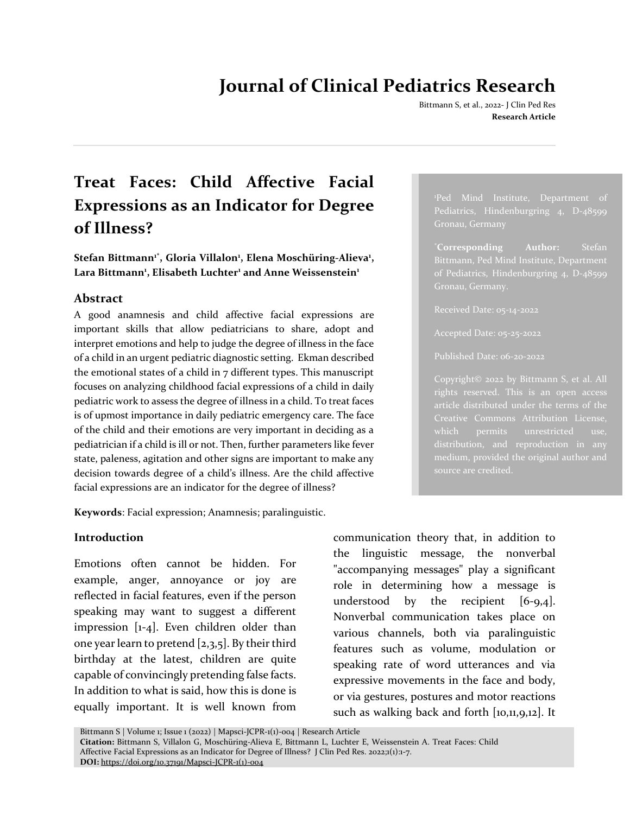# **Journal of Clinical Pediatrics Research**

Bittmann S, et al., 2022- J Clin Ped Res **Research Article**

## **Treat Faces: Child Affective Facial Expressions as an Indicator for Degree of Illness?**

 $\mathbf{S}$ tefan Bittmann<sup>ı\*</sup>, Gloria Villalon<sup>ı</sup>, Elena Moschüring-Alieva<sup>ı</sup>, **Lara Bittmann<sup>1</sup> , Elisabeth Luchter<sup>1</sup> and Anne Weissenstein<sup>1</sup>**

## **Abstract**

A good anamnesis and child affective facial expressions are important skills that allow pediatricians to share, adopt and interpret emotions and help to judge the degree of illness in the face of a child in an urgent pediatric diagnostic setting. Ekman described the emotional states of a child in 7 different types. This manuscript focuses on analyzing childhood facial expressions of a child in daily pediatric work to assess the degree of illness in a child. To treat faces is of upmost importance in daily pediatric emergency care. The face of the child and their emotions are very important in deciding as a pediatrician if a child is ill or not. Then, further parameters like fever state, paleness, agitation and other signs are important to make any decision towards degree of a child's illness. Are the child affective facial expressions are an indicator for the degree of illness?

**Keywords**: Facial expression; Anamnesis; paralinguistic.

## **Introduction**

Emotions often cannot be hidden. For example, anger, annoyance or joy are reflected in facial features, even if the person speaking may want to suggest a different impression [1-4]. Even children older than one year learn to pretend [2,3,5]. By their third birthday at the latest, children are quite capable of convincingly pretending false facts. In addition to what is said, how this is done is equally important. It is well known from

communication theory that, in addition to the linguistic message, the nonverbal "accompanying messages" play a significant role in determining how a message is understood by the recipient  $[6-9,4]$ . Nonverbal communication takes place on various channels, both via paralinguistic features such as volume, modulation or speaking rate of word utterances and via expressive movements in the face and body, or via gestures, postures and motor reactions such as walking back and forth [10,11,9,12]. It

<sup>1</sup>Ped Mind Institute, Department of Pediatrics, Hindenburgring 4, D-48599 Gronau, Germany

\***Corresponding Author:** Stefan of Pediatrics, Hindenburgring 4, D-48599 Gronau, Germany.

Published Date: 06-20-2022

Copyright© 2022 by Bittmann S, et al. All rights reserved. This is an open access article distributed under the terms of the which permits unrestricted use, medium, provided the original author and source are credited.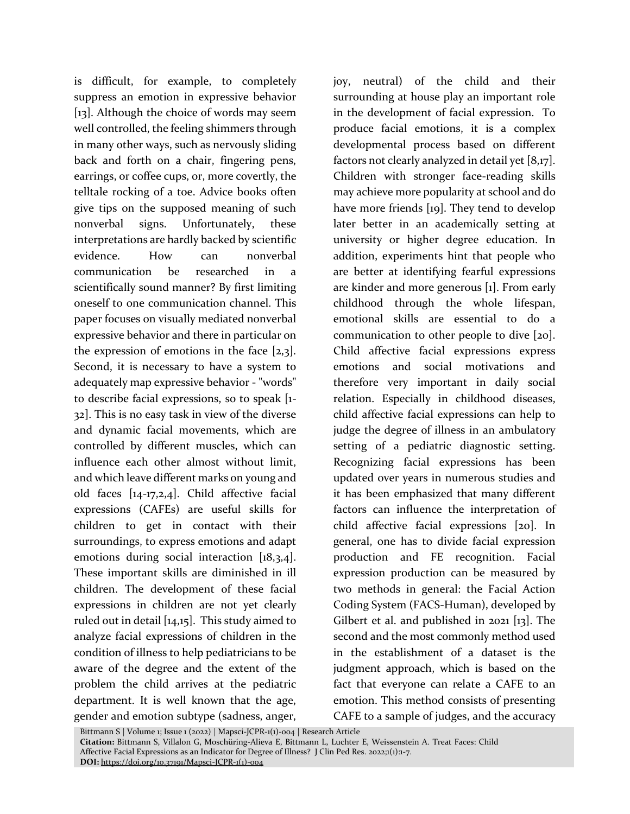is difficult, for example, to completely suppress an emotion in expressive behavior [13]. Although the choice of words may seem well controlled, the feeling shimmers through in many other ways, such as nervously sliding back and forth on a chair, fingering pens, earrings, or coffee cups, or, more covertly, the telltale rocking of a toe. Advice books often give tips on the supposed meaning of such nonverbal signs. Unfortunately, these interpretations are hardly backed by scientific evidence. How can nonverbal communication be researched in a scientifically sound manner? By first limiting oneself to one communication channel. This paper focuses on visually mediated nonverbal expressive behavior and there in particular on the expression of emotions in the face  $[2,3]$ . Second, it is necessary to have a system to adequately map expressive behavior - "words" to describe facial expressions, so to speak [1- 32]. This is no easy task in view of the diverse and dynamic facial movements, which are controlled by different muscles, which can influence each other almost without limit, and which leave different marks on young and old faces [14-17,2,4]. Child affective facial expressions (CAFEs) are useful skills for children to get in contact with their surroundings, to express emotions and adapt emotions during social interaction [18,3,4]. These important skills are diminished in ill children. The development of these facial expressions in children are not yet clearly ruled out in detail [14,15]. This study aimed to analyze facial expressions of children in the condition of illness to help pediatricians to be aware of the degree and the extent of the problem the child arrives at the pediatric department. It is well known that the age, gender and emotion subtype (sadness, anger,

joy, neutral) of the child and their surrounding at house play an important role in the development of facial expression. To produce facial emotions, it is a complex developmental process based on different factors not clearly analyzed in detail yet [8,17]. Children with stronger face-reading skills may achieve more popularity at school and do have more friends [19]. They tend to develop later better in an academically setting at university or higher degree education. In addition, experiments hint that people who are better at identifying fearful expressions are kinder and more generous [1]. From early childhood through the whole lifespan, emotional skills are essential to do a communication to other people to dive [20]. Child affective facial expressions express emotions and social motivations and therefore very important in daily social relation. Especially in childhood diseases, child affective facial expressions can help to judge the degree of illness in an ambulatory setting of a pediatric diagnostic setting. Recognizing facial expressions has been updated over years in numerous studies and it has been emphasized that many different factors can influence the interpretation of child affective facial expressions [20]. In general, one has to divide facial expression production and FE recognition. Facial expression production can be measured by two methods in general: the Facial Action Coding System (FACS-Human), developed by Gilbert et al. and published in 2021 [13]. The second and the most commonly method used in the establishment of a dataset is the judgment approach, which is based on the fact that everyone can relate a CAFE to an emotion. This method consists of presenting CAFE to a sample of judges, and the accuracy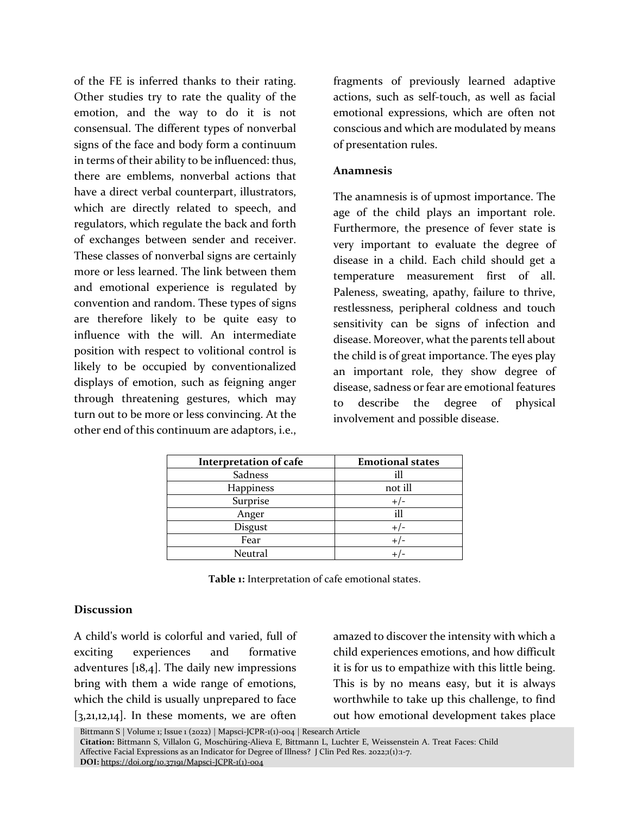of the FE is inferred thanks to their rating. Other studies try to rate the quality of the emotion, and the way to do it is not consensual. The different types of nonverbal signs of the face and body form a continuum in terms of their ability to be influenced: thus, there are emblems, nonverbal actions that have a direct verbal counterpart, illustrators, which are directly related to speech, and regulators, which regulate the back and forth of exchanges between sender and receiver. These classes of nonverbal signs are certainly more or less learned. The link between them and emotional experience is regulated by convention and random. These types of signs are therefore likely to be quite easy to influence with the will. An intermediate position with respect to volitional control is likely to be occupied by conventionalized displays of emotion, such as feigning anger through threatening gestures, which may turn out to be more or less convincing. At the other end of this continuum are adaptors, i.e.,

fragments of previously learned adaptive actions, such as self-touch, as well as facial emotional expressions, which are often not conscious and which are modulated by means of presentation rules.

#### **Anamnesis**

The anamnesis is of upmost importance. The age of the child plays an important role. Furthermore, the presence of fever state is very important to evaluate the degree of disease in a child. Each child should get a temperature measurement first of all. Paleness, sweating, apathy, failure to thrive, restlessness, peripheral coldness and touch sensitivity can be signs of infection and disease. Moreover, what the parents tell about the child is of great importance. The eyes play an important role, they show degree of disease, sadness or fear are emotional features to describe the degree of physical involvement and possible disease.

| <b>Interpretation of cafe</b> | <b>Emotional states</b> |
|-------------------------------|-------------------------|
| Sadness                       | ill                     |
| Happiness                     | not ill                 |
| Surprise                      | +/-                     |
| Anger                         | ill                     |
| Disgust                       |                         |
| Fear                          |                         |
| Neutral                       |                         |

**Table 1:** Interpretation of cafe emotional states.

### **Discussion**

A child's world is colorful and varied, full of exciting experiences and formative adventures [18,4]. The daily new impressions bring with them a wide range of emotions, which the child is usually unprepared to face  $[3,21,12,14]$ . In these moments, we are often

amazed to discover the intensity with which a child experiences emotions, and how difficult it is for us to empathize with this little being. This is by no means easy, but it is always worthwhile to take up this challenge, to find out how emotional development takes place

Bittmann S | Volume 1; Issue 1 (2022) | Mapsci-JCPR-1(1)-004 | Research Article **Citation:** Bittmann S, Villalon G, Moschüring-Alieva E, Bittmann L, Luchter E, Weissenstein A. Treat Faces: Child Affective Facial Expressions as an Indicator for Degree of Illness? J Clin Ped Res. 2022;1(1):1-7. **DOI:** [https://doi.org/10.37191/Mapsci-JCPR-1\(1\)-004](https://doi.org/10.37191/Mapsci-JCPR-1(1)-004)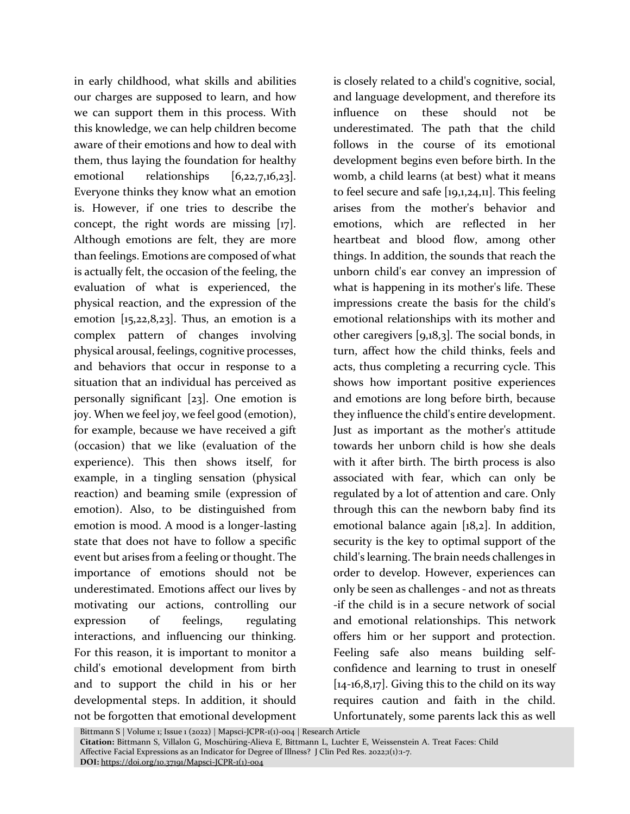in early childhood, what skills and abilities our charges are supposed to learn, and how we can support them in this process. With this knowledge, we can help children become aware of their emotions and how to deal with them, thus laying the foundation for healthy emotional relationships [6,22,7,16,23]. Everyone thinks they know what an emotion is. However, if one tries to describe the concept, the right words are missing [17]. Although emotions are felt, they are more than feelings. Emotions are composed of what is actually felt, the occasion of the feeling, the evaluation of what is experienced, the physical reaction, and the expression of the emotion  $[x_5, 22, 8, 23]$ . Thus, an emotion is a complex pattern of changes involving physical arousal, feelings, cognitive processes, and behaviors that occur in response to a situation that an individual has perceived as personally significant [23]. One emotion is joy. When we feel joy, we feel good (emotion), for example, because we have received a gift (occasion) that we like (evaluation of the experience). This then shows itself, for example, in a tingling sensation (physical reaction) and beaming smile (expression of emotion). Also, to be distinguished from emotion is mood. A mood is a longer-lasting state that does not have to follow a specific event but arises from a feeling or thought. The importance of emotions should not be underestimated. Emotions affect our lives by motivating our actions, controlling our expression of feelings, regulating interactions, and influencing our thinking. For this reason, it is important to monitor a child's emotional development from birth and to support the child in his or her developmental steps. In addition, it should not be forgotten that emotional development

is closely related to a child's cognitive, social, and language development, and therefore its influence on these should not be underestimated. The path that the child follows in the course of its emotional development begins even before birth. In the womb, a child learns (at best) what it means to feel secure and safe [19,1,24,11]. This feeling arises from the mother's behavior and emotions, which are reflected in her heartbeat and blood flow, among other things. In addition, the sounds that reach the unborn child's ear convey an impression of what is happening in its mother's life. These impressions create the basis for the child's emotional relationships with its mother and other caregivers [9,18,3]. The social bonds, in turn, affect how the child thinks, feels and acts, thus completing a recurring cycle. This shows how important positive experiences and emotions are long before birth, because they influence the child's entire development. Just as important as the mother's attitude towards her unborn child is how she deals with it after birth. The birth process is also associated with fear, which can only be regulated by a lot of attention and care. Only through this can the newborn baby find its emotional balance again [18,2]. In addition, security is the key to optimal support of the child's learning. The brain needs challenges in order to develop. However, experiences can only be seen as challenges - and not as threats -if the child is in a secure network of social and emotional relationships. This network offers him or her support and protection. Feeling safe also means building selfconfidence and learning to trust in oneself  $[14-16,8,17]$ . Giving this to the child on its way requires caution and faith in the child. Unfortunately, some parents lack this as well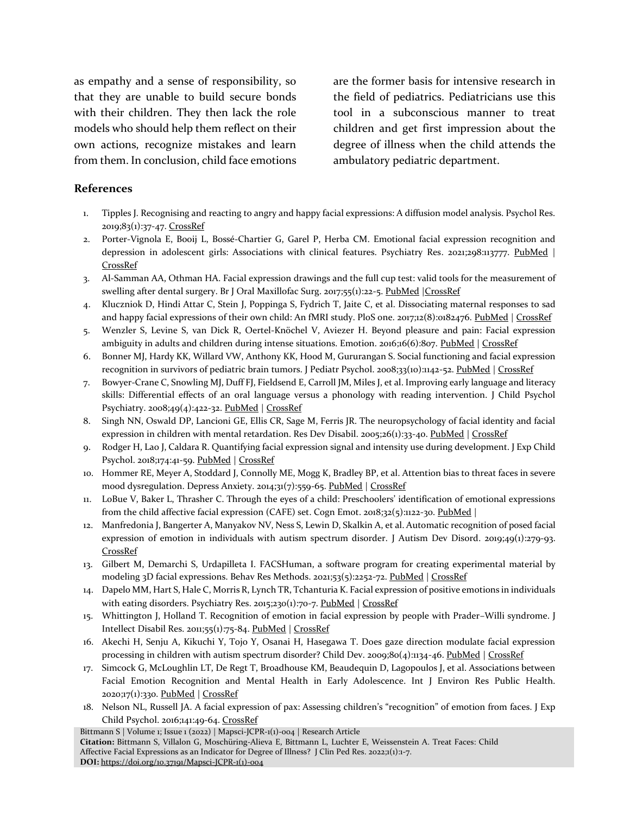as empathy and a sense of responsibility, so that they are unable to build secure bonds with their children. They then lack the role models who should help them reflect on their own actions, recognize mistakes and learn from them. In conclusion, child face emotions are the former basis for intensive research in the field of pediatrics. Pediatricians use this tool in a subconscious manner to treat children and get first impression about the degree of illness when the child attends the ambulatory pediatric department.

#### **References**

- 1. Tipples J. Recognising and reacting to angry and happy facial expressions: A diffusion model analysis. Psychol Res. 2019;83(1):37-47[. CrossRef](https://doi.org/10.1007/s00426-018-1092-6)
- 2. Porter-Vignola E, Booij L, Bossé-Chartier G, Garel P, Herba CM. Emotional facial expression recognition and depression in adolescent girls: Associations with clinical features. Psychiatry Res. 2021;298:113777. [PubMed](https://pubmed.ncbi.nlm.nih.gov/33581380/) | [CrossRef](https://doi.org/10.1016/j.psychres.2021.113777)
- 3. Al-Samman AA, Othman HA. Facial expression drawings and the full cup test: valid tools for the measurement of swelling after dental surgery. Br J Oral Maxillofac Surg. 2017;55(1):22-5[. PubMed](https://pubmed.ncbi.nlm.nih.gov/27595507/) CrossRef
- 4. Kluczniok D, Hindi Attar C, Stein J, Poppinga S, Fydrich T, Jaite C, et al. Dissociating maternal responses to sad and happy facial expressions of their own child: An fMRI study. PloS one. 2017;12(8):0182476. [PubMed](https://pubmed.ncbi.nlm.nih.gov/28806742/) | [CrossRef](https://doi.org/10.1371/journal.pone.0182476)
- 5. Wenzler S, Levine S, van Dick R, Oertel-Knöchel V, Aviezer H. Beyond pleasure and pain: Facial expression ambiguity in adults and children during intense situations. Emotion. 2016;16(6):807. [PubMed](https://pubmed.ncbi.nlm.nih.gov/27337681/) [| CrossRef](https://doi.org/10.1037/emo0000185)
- 6. Bonner MJ, Hardy KK, Willard VW, Anthony KK, Hood M, Gururangan S. Social functioning and facial expression recognition in survivors of pediatric brain tumors. J Pediatr Psychol. 2008;33(10):1142-52[. PubMed](https://pubmed.ncbi.nlm.nih.gov/18390896/) [| CrossRef](https://doi.org/10.1093/jpepsy/jsn035)
- 7. Bowyer‐Crane C, Snowling MJ, Duff FJ, Fieldsend E, Carroll JM, Miles J, et al. Improving early language and literacy skills: Differential effects of an oral language versus a phonology with reading intervention. J Child Psychol Psychiatry. 2008;49(4):422-32[. PubMed](https://pubmed.ncbi.nlm.nih.gov/17714371/) | [CrossRef](https://doi.org/10.1111/j.1469-7610.2007.01758.x)
- 8. Singh NN, Oswald DP, Lancioni GE, Ellis CR, Sage M, Ferris JR. The neuropsychology of facial identity and facial expression in children with mental retardation. Res Dev Disabil. 2005;26(1):33-40[. PubMed](https://pubmed.ncbi.nlm.nih.gov/15590235/) | [CrossRef](https://doi.org/10.1016/j.ridd.2004.02.003)
- 9. Rodger H, Lao J, Caldara R. Quantifying facial expression signal and intensity use during development. J Exp Child Psychol. 2018;174:41-59[. PubMed](https://pubmed.ncbi.nlm.nih.gov/29906651/) | [CrossRef](https://doi.org/10.1016/j.jecp.2018.05.005)
- 10. Hommer RE, Meyer A, Stoddard J, Connolly ME, Mogg K, Bradley BP, et al. Attention bias to threat faces in severe mood dysregulation. Depress Anxiety. 2014;31(7):559-65[. PubMed](https://pubmed.ncbi.nlm.nih.gov/23798350/) | [CrossRef](https://doi.org/10.1002/da.22145)
- 11. LoBue V, Baker L, Thrasher C. Through the eyes of a child: Preschoolers' identification of emotional expressions from the child affective facial expression (CAFE) set. Cogn Emot.  $2018;32(5):1122-30.$  PubMed |
- 12. Manfredonia J, Bangerter A, Manyakov NV, Ness S, Lewin D, Skalkin A, et al. Automatic recognition of posed facial expression of emotion in individuals with autism spectrum disorder. J Autism Dev Disord. 2019;49(1):279-93. [CrossRef](https://doi.org/10.1007/s10803-018-3757-9)
- 13. Gilbert M, Demarchi S, Urdapilleta I. FACSHuman, a software program for creating experimental material by modeling 3D facial expressions. Behav Res Methods. 2021;53(5):2252-72[. PubMed](https://pubmed.ncbi.nlm.nih.gov/33825127/) [| CrossRef](https://doi.org/10.3758/s13428-021-01559-9)
- 14. Dapelo MM, Hart S, Hale C, Morris R, Lynch TR, Tchanturia K. Facial expression of positive emotions in individuals with eating disorders. Psychiatry Res. 2015;230(1):70-7. [PubMed](https://pubmed.ncbi.nlm.nih.gov/26323166/) | [CrossRef](https://doi.org/10.1016/j.psychres.2015.08.019)
- 15. Whittington J, Holland T. Recognition of emotion in facial expression by people with Prader–Willi syndrome. J Intellect Disabil Res. 2011;55(1):75-84. [PubMed](https://pubmed.ncbi.nlm.nih.gov/21121995/) [| CrossRef](https://doi.org/10.1111/j.1365-2788.2010.01348.x)
- 16. Akechi H, Senju A, Kikuchi Y, Tojo Y, Osanai H, Hasegawa T. Does gaze direction modulate facial expression processing in children with autism spectrum disorder? Child Dev. 2009;80(4):1134-46. [PubMed](https://pubmed.ncbi.nlm.nih.gov/19630898/) [| CrossRef](https://doi.org/10.1111/j.1467-8624.2009.01321.x)
- 17. Simcock G, McLoughlin LT, De Regt T, Broadhouse KM, Beaudequin D, Lagopoulos J, et al. Associations between Facial Emotion Recognition and Mental Health in Early Adolescence. Int J Environ Res Public Health. 2020;17(1):330. [PubMed](https://pubmed.ncbi.nlm.nih.gov/31947739/) | [CrossRef](https://doi.org/10.3390/ijerph17010330)
- 18. Nelson NL, Russell JA. A facial expression of pax: Assessing children's "recognition" of emotion from faces. J Exp Child Psychol. 2016;141:49-64[. CrossRef](https://doi.org/10.1016/j.jecp.2015.07.016)

Bittmann S | Volume 1; Issue 1 (2022) | Mapsci-JCPR-1(1)-004 | Research Article

**Citation:** Bittmann S, Villalon G, Moschüring-Alieva E, Bittmann L, Luchter E, Weissenstein A. Treat Faces: Child Affective Facial Expressions as an Indicator for Degree of Illness? J Clin Ped Res. 2022;1(1):1-7. **DOI:** [https://doi.org/10.37191/Mapsci-JCPR-1\(1\)-004](https://doi.org/10.37191/Mapsci-JCPR-1(1)-004)